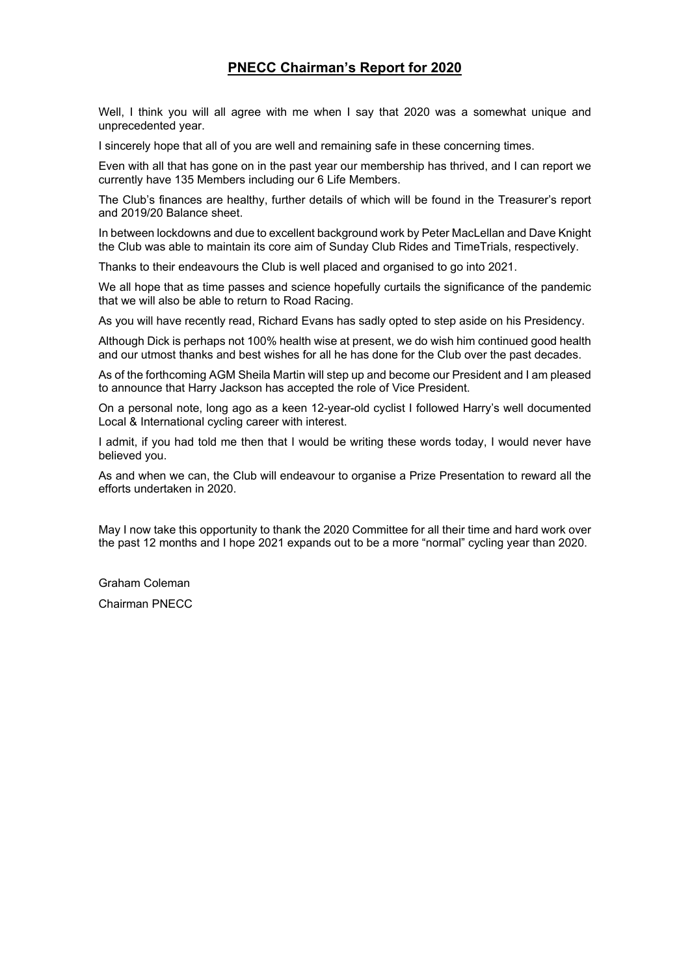## **PNECC Chairman's Report for 2020**

Well, I think you will all agree with me when I say that 2020 was a somewhat unique and unprecedented year.

I sincerely hope that all of you are well and remaining safe in these concerning times.

Even with all that has gone on in the past year our membership has thrived, and I can report we currently have 135 Members including our 6 Life Members.

The Club's finances are healthy, further details of which will be found in the Treasurer's report and 2019/20 Balance sheet.

In between lockdowns and due to excellent background work by Peter MacLellan and Dave Knight the Club was able to maintain its core aim of Sunday Club Rides and TimeTrials, respectively.

Thanks to their endeavours the Club is well placed and organised to go into 2021.

We all hope that as time passes and science hopefully curtails the significance of the pandemic that we will also be able to return to Road Racing.

As you will have recently read, Richard Evans has sadly opted to step aside on his Presidency.

Although Dick is perhaps not 100% health wise at present, we do wish him continued good health and our utmost thanks and best wishes for all he has done for the Club over the past decades.

As of the forthcoming AGM Sheila Martin will step up and become our President and I am pleased to announce that Harry Jackson has accepted the role of Vice President.

On a personal note, long ago as a keen 12-year-old cyclist I followed Harry's well documented Local & International cycling career with interest.

I admit, if you had told me then that I would be writing these words today, I would never have believed you.

As and when we can, the Club will endeavour to organise a Prize Presentation to reward all the efforts undertaken in 2020.

May I now take this opportunity to thank the 2020 Committee for all their time and hard work over the past 12 months and I hope 2021 expands out to be a more "normal" cycling year than 2020.

Graham Coleman

Chairman PNECC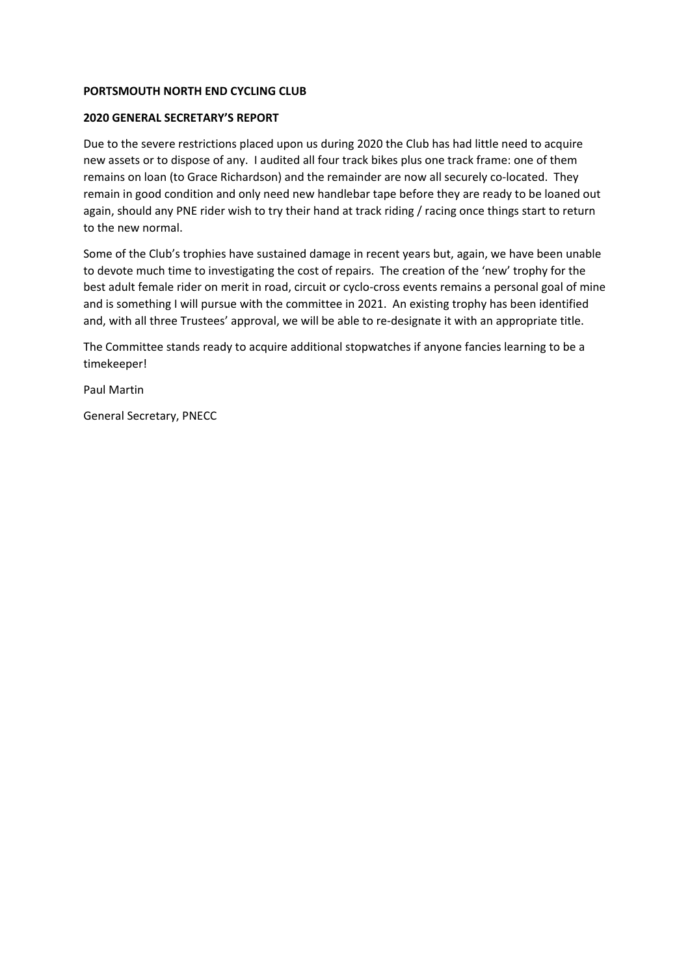#### **PORTSMOUTH NORTH END CYCLING CLUB**

#### **2020 GENERAL SECRETARY'S REPORT**

Due to the severe restrictions placed upon us during 2020 the Club has had little need to acquire new assets or to dispose of any. I audited all four track bikes plus one track frame: one of them remains on loan (to Grace Richardson) and the remainder are now all securely co-located. They remain in good condition and only need new handlebar tape before they are ready to be loaned out again, should any PNE rider wish to try their hand at track riding / racing once things start to return to the new normal.

Some of the Club's trophies have sustained damage in recent years but, again, we have been unable to devote much time to investigating the cost of repairs. The creation of the 'new' trophy for the best adult female rider on merit in road, circuit or cyclo-cross events remains a personal goal of mine and is something I will pursue with the committee in 2021. An existing trophy has been identified and, with all three Trustees' approval, we will be able to re‐designate it with an appropriate title.

The Committee stands ready to acquire additional stopwatches if anyone fancies learning to be a timekeeper!

Paul Martin

General Secretary, PNECC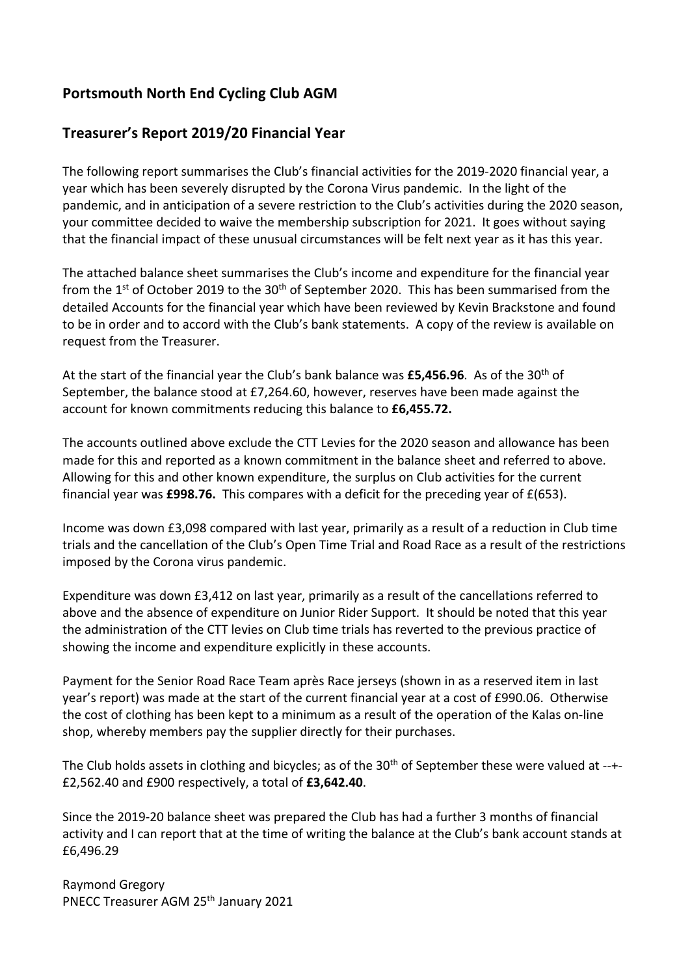# **Portsmouth North End Cycling Club AGM**

## **Treasurer's Report 2019/20 Financial Year**

The following report summarises the Club's financial activities for the 2019‐2020 financial year, a year which has been severely disrupted by the Corona Virus pandemic. In the light of the pandemic, and in anticipation of a severe restriction to the Club's activities during the 2020 season, your committee decided to waive the membership subscription for 2021. It goes without saying that the financial impact of these unusual circumstances will be felt next year as it has this year.

The attached balance sheet summarises the Club's income and expenditure for the financial year from the 1<sup>st</sup> of October 2019 to the 30<sup>th</sup> of September 2020. This has been summarised from the detailed Accounts for the financial year which have been reviewed by Kevin Brackstone and found to be in order and to accord with the Club's bank statements. A copy of the review is available on request from the Treasurer.

At the start of the financial year the Club's bank balance was £5,456.96. As of the 30<sup>th</sup> of September, the balance stood at £7,264.60, however, reserves have been made against the account for known commitments reducing this balance to **£6,455.72.**

The accounts outlined above exclude the CTT Levies for the 2020 season and allowance has been made for this and reported as a known commitment in the balance sheet and referred to above. Allowing for this and other known expenditure, the surplus on Club activities for the current financial year was **£998.76.** This compares with a deficit for the preceding year of £(653).

Income was down £3,098 compared with last year, primarily as a result of a reduction in Club time trials and the cancellation of the Club's Open Time Trial and Road Race as a result of the restrictions imposed by the Corona virus pandemic.

Expenditure was down £3,412 on last year, primarily as a result of the cancellations referred to above and the absence of expenditure on Junior Rider Support. It should be noted that this year the administration of the CTT levies on Club time trials has reverted to the previous practice of showing the income and expenditure explicitly in these accounts.

Payment for the Senior Road Race Team après Race jerseys (shown in as a reserved item in last year's report) was made at the start of the current financial year at a cost of £990.06. Otherwise the cost of clothing has been kept to a minimum as a result of the operation of the Kalas on‐line shop, whereby members pay the supplier directly for their purchases.

The Club holds assets in clothing and bicycles; as of the 30<sup>th</sup> of September these were valued at --+-£2,562.40 and £900 respectively, a total of **£3,642.40**.

Since the 2019‐20 balance sheet was prepared the Club has had a further 3 months of financial activity and I can report that at the time of writing the balance at the Club's bank account stands at £6,496.29

Raymond Gregory PNECC Treasurer AGM 25<sup>th</sup> January 2021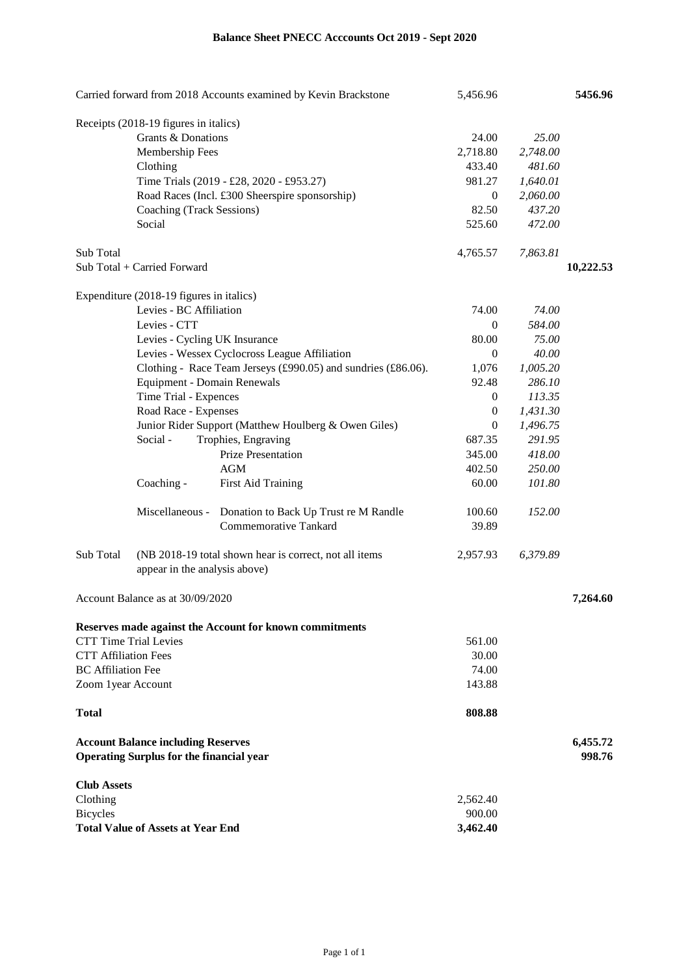| Carried forward from 2018 Accounts examined by Kevin Brackstone |                                                 |                                                               | 5,456.96         |          | 5456.96   |
|-----------------------------------------------------------------|-------------------------------------------------|---------------------------------------------------------------|------------------|----------|-----------|
|                                                                 | Receipts (2018-19 figures in italics)           |                                                               |                  |          |           |
| Grants & Donations                                              |                                                 |                                                               | 24.00            | 25.00    |           |
|                                                                 | Membership Fees                                 |                                                               | 2,718.80         | 2,748.00 |           |
|                                                                 | Clothing                                        |                                                               | 433.40           | 481.60   |           |
|                                                                 |                                                 | Time Trials (2019 - £28, 2020 - £953.27)                      | 981.27           | 1,640.01 |           |
|                                                                 |                                                 | Road Races (Incl. £300 Sheerspire sponsorship)                | $\boldsymbol{0}$ | 2,060.00 |           |
|                                                                 | Coaching (Track Sessions)                       |                                                               | 82.50            | 437.20   |           |
|                                                                 | Social                                          |                                                               | 525.60           | 472.00   |           |
| Sub Total                                                       |                                                 |                                                               | 4,765.57         | 7,863.81 |           |
|                                                                 | Sub Total + Carried Forward                     |                                                               |                  |          | 10,222.53 |
|                                                                 | Expenditure (2018-19 figures in italics)        |                                                               |                  |          |           |
|                                                                 | Levies - BC Affiliation                         |                                                               | 74.00            | 74.00    |           |
|                                                                 | Levies - CTT                                    |                                                               | $\overline{0}$   | 584.00   |           |
|                                                                 | Levies - Cycling UK Insurance                   |                                                               | 80.00            | 75.00    |           |
|                                                                 |                                                 | Levies - Wessex Cyclocross League Affiliation                 | $\theta$         | 40.00    |           |
|                                                                 |                                                 | Clothing - Race Team Jerseys (£990.05) and sundries (£86.06). | 1,076            | 1,005.20 |           |
|                                                                 | <b>Equipment - Domain Renewals</b>              |                                                               | 92.48            | 286.10   |           |
|                                                                 | Time Trial - Expences                           |                                                               | $\boldsymbol{0}$ | 113.35   |           |
|                                                                 | Road Race - Expenses                            |                                                               | $\boldsymbol{0}$ | 1,431.30 |           |
|                                                                 |                                                 | Junior Rider Support (Matthew Houlberg & Owen Giles)          | $\theta$         | 1,496.75 |           |
|                                                                 | Social -                                        | Trophies, Engraving                                           | 687.35           | 291.95   |           |
|                                                                 |                                                 | Prize Presentation                                            | 345.00           | 418.00   |           |
|                                                                 |                                                 | <b>AGM</b>                                                    | 402.50           | 250.00   |           |
|                                                                 | Coaching -                                      | <b>First Aid Training</b>                                     | 60.00            | 101.80   |           |
|                                                                 | Miscellaneous -                                 | Donation to Back Up Trust re M Randle                         | 100.60           | 152.00   |           |
|                                                                 |                                                 | Commemorative Tankard                                         | 39.89            |          |           |
| Sub Total                                                       |                                                 | (NB 2018-19 total shown hear is correct, not all items        | 2,957.93         | 6,379.89 |           |
|                                                                 | appear in the analysis above)                   |                                                               |                  |          |           |
|                                                                 | Account Balance as at 30/09/2020                |                                                               |                  |          | 7.264.60  |
|                                                                 |                                                 | Reserves made against the Account for known commitments       |                  |          |           |
| <b>CTT Time Trial Levies</b>                                    |                                                 |                                                               | 561.00           |          |           |
| <b>CTT Affiliation Fees</b>                                     |                                                 |                                                               | 30.00            |          |           |
| <b>BC</b> Affiliation Fee                                       |                                                 |                                                               | 74.00            |          |           |
| Zoom 1year Account                                              |                                                 |                                                               | 143.88           |          |           |
| <b>Total</b>                                                    |                                                 |                                                               | 808.88           |          |           |
|                                                                 | <b>Account Balance including Reserves</b>       |                                                               |                  |          | 6,455.72  |
|                                                                 | <b>Operating Surplus for the financial year</b> |                                                               |                  |          | 998.76    |
| <b>Club Assets</b>                                              |                                                 |                                                               |                  |          |           |
| Clothing                                                        |                                                 |                                                               | 2,562.40         |          |           |
| <b>Bicycles</b>                                                 |                                                 |                                                               | 900.00           |          |           |
| <b>Total Value of Assets at Year End</b>                        |                                                 |                                                               | 3,462.40         |          |           |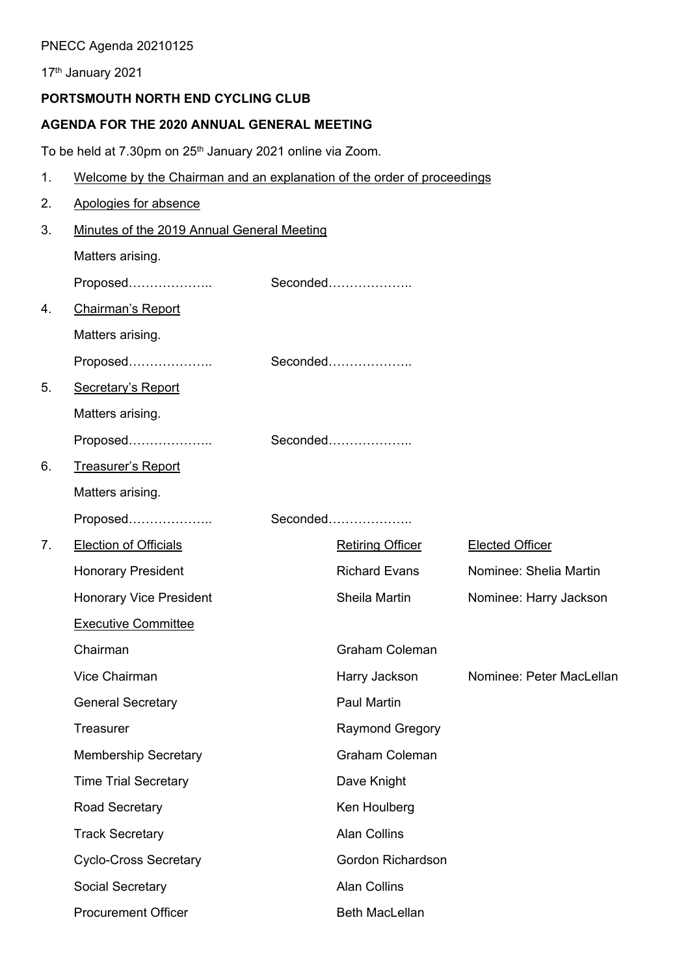## PNECC Agenda 20210125

17th January 2021

## **PORTSMOUTH NORTH END CYCLING CLUB**

## **AGENDA FOR THE 2020 ANNUAL GENERAL MEETING**

To be held at 7.30pm on 25<sup>th</sup> January 2021 online via Zoom.

1. Welcome by the Chairman and an explanation of the order of proceedings

| 2.             | Apologies for absence                      |  |                         |                          |  |
|----------------|--------------------------------------------|--|-------------------------|--------------------------|--|
| 3.             | Minutes of the 2019 Annual General Meeting |  |                         |                          |  |
|                | Matters arising.                           |  |                         |                          |  |
|                | Proposed                                   |  | $Seconded$              |                          |  |
| 4.             | <b>Chairman's Report</b>                   |  |                         |                          |  |
|                | Matters arising.                           |  |                         |                          |  |
|                | Proposed                                   |  |                         |                          |  |
| 5.             | <b>Secretary's Report</b>                  |  |                         |                          |  |
|                | Matters arising.                           |  |                         |                          |  |
|                | Proposed                                   |  | Seconded                |                          |  |
| 6.             | <b>Treasurer's Report</b>                  |  |                         |                          |  |
|                | Matters arising.                           |  |                         |                          |  |
|                | Proposed                                   |  | Seconded                |                          |  |
| 7 <sub>1</sub> | <b>Election of Officials</b>               |  | <b>Retiring Officer</b> | <b>Elected Officer</b>   |  |
|                | <b>Honorary President</b>                  |  | <b>Richard Evans</b>    | Nominee: Shelia Martin   |  |
|                | <b>Honorary Vice President</b>             |  | Sheila Martin           | Nominee: Harry Jackson   |  |
|                | <b>Executive Committee</b>                 |  |                         |                          |  |
|                | Chairman                                   |  | <b>Graham Coleman</b>   |                          |  |
|                | <b>Vice Chairman</b>                       |  | Harry Jackson           | Nominee: Peter MacLellan |  |
|                | <b>General Secretary</b>                   |  | <b>Paul Martin</b>      |                          |  |
|                | <b>Treasurer</b>                           |  | <b>Raymond Gregory</b>  |                          |  |
|                | <b>Membership Secretary</b>                |  | Graham Coleman          |                          |  |
|                | <b>Time Trial Secretary</b>                |  | Dave Knight             |                          |  |
|                | Road Secretary                             |  | Ken Houlberg            |                          |  |
|                | <b>Track Secretary</b>                     |  | <b>Alan Collins</b>     |                          |  |
|                | <b>Cyclo-Cross Secretary</b>               |  | Gordon Richardson       |                          |  |
|                | Social Secretary                           |  | <b>Alan Collins</b>     |                          |  |
|                | <b>Procurement Officer</b>                 |  | <b>Beth MacLellan</b>   |                          |  |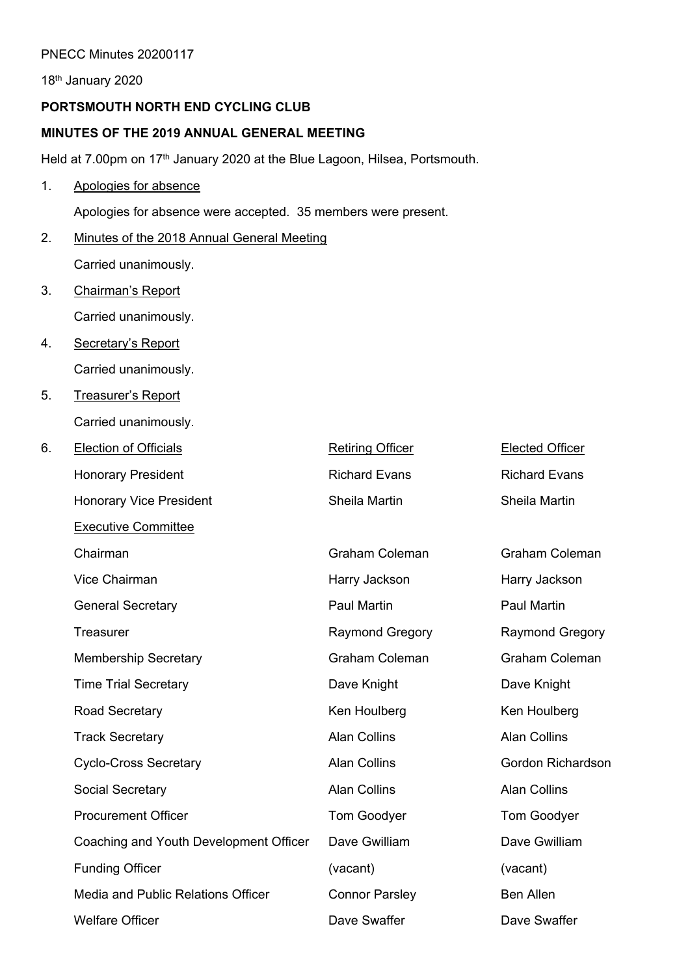#### PNECC Minutes 20200117

18th January 2020

## **PORTSMOUTH NORTH END CYCLING CLUB**

#### **MINUTES OF THE 2019 ANNUAL GENERAL MEETING**

Held at 7.00pm on 17<sup>th</sup> January 2020 at the Blue Lagoon, Hilsea, Portsmouth.

### 1. Apologies for absence

Apologies for absence were accepted. 35 members were present.

- 2. Minutes of the 2018 Annual General Meeting Carried unanimously.
- 3. Chairman's Report Carried unanimously.
- 4. Secretary's Report Carried unanimously.
- 5. Treasurer's Report Carried unanimously.

| 6. | <b>Election of Officials</b>           | <b>Retiring Officer</b> | <b>Elected Officer</b> |
|----|----------------------------------------|-------------------------|------------------------|
|    | <b>Honorary President</b>              | <b>Richard Evans</b>    | <b>Richard Evans</b>   |
|    | <b>Honorary Vice President</b>         | Sheila Martin           | <b>Sheila Martin</b>   |
|    | <b>Executive Committee</b>             |                         |                        |
|    | Chairman                               | <b>Graham Coleman</b>   | <b>Graham Coleman</b>  |
|    | Vice Chairman                          | Harry Jackson           | Harry Jackson          |
|    | <b>General Secretary</b>               | <b>Paul Martin</b>      | <b>Paul Martin</b>     |
|    | <b>Treasurer</b>                       | <b>Raymond Gregory</b>  | <b>Raymond Gregory</b> |
|    | <b>Membership Secretary</b>            | <b>Graham Coleman</b>   | <b>Graham Coleman</b>  |
|    | <b>Time Trial Secretary</b>            | Dave Knight             | Dave Knight            |
|    | <b>Road Secretary</b>                  | Ken Houlberg            | Ken Houlberg           |
|    | <b>Track Secretary</b>                 | <b>Alan Collins</b>     | <b>Alan Collins</b>    |
|    | <b>Cyclo-Cross Secretary</b>           | <b>Alan Collins</b>     | Gordon Richardson      |
|    | <b>Social Secretary</b>                | <b>Alan Collins</b>     | <b>Alan Collins</b>    |
|    | <b>Procurement Officer</b>             | <b>Tom Goodyer</b>      | Tom Goodyer            |
|    | Coaching and Youth Development Officer | Dave Gwilliam           | Dave Gwilliam          |
|    | <b>Funding Officer</b>                 | (vacant)                | (vacant)               |
|    | Media and Public Relations Officer     | <b>Connor Parsley</b>   | <b>Ben Allen</b>       |
|    | <b>Welfare Officer</b>                 | Dave Swaffer            | Dave Swaffer           |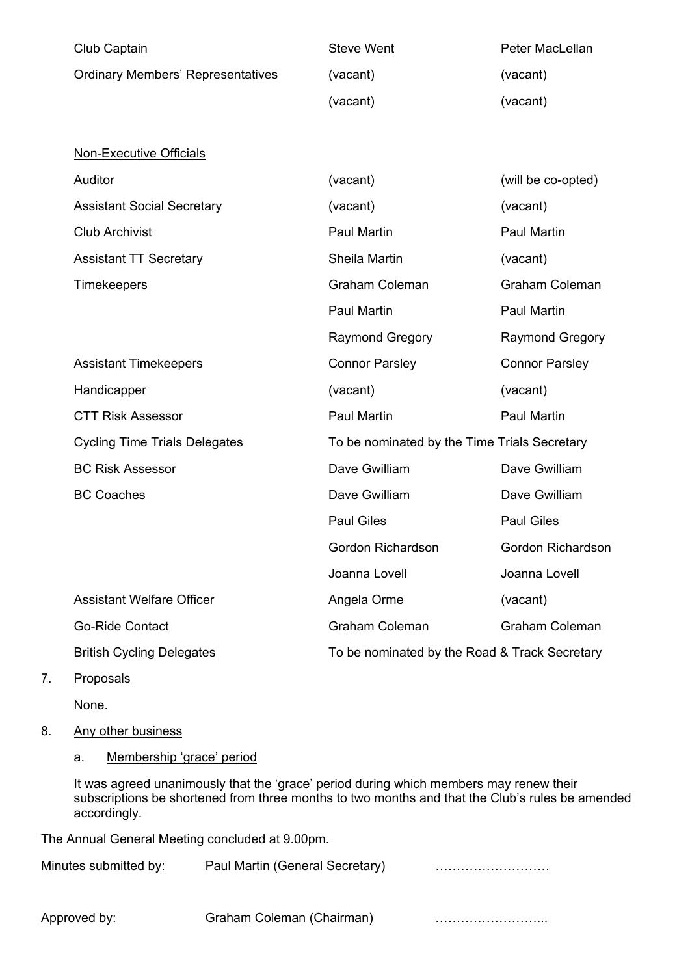| Club Captain                             | <b>Steve Went</b>                             | Peter MacLellan        |  |
|------------------------------------------|-----------------------------------------------|------------------------|--|
| <b>Ordinary Members' Representatives</b> | (vacant)                                      | (vacant)               |  |
|                                          | (vacant)                                      | (vacant)               |  |
|                                          |                                               |                        |  |
| <b>Non-Executive Officials</b>           |                                               |                        |  |
| Auditor                                  | (vacant)                                      | (will be co-opted)     |  |
| <b>Assistant Social Secretary</b>        | (vacant)                                      | (vacant)               |  |
| <b>Club Archivist</b>                    | Paul Martin                                   | <b>Paul Martin</b>     |  |
| <b>Assistant TT Secretary</b>            | Sheila Martin                                 | (vacant)               |  |
| <b>Timekeepers</b>                       | <b>Graham Coleman</b>                         | <b>Graham Coleman</b>  |  |
|                                          | <b>Paul Martin</b>                            | <b>Paul Martin</b>     |  |
|                                          | <b>Raymond Gregory</b>                        | <b>Raymond Gregory</b> |  |
| <b>Assistant Timekeepers</b>             | <b>Connor Parsley</b>                         | <b>Connor Parsley</b>  |  |
| Handicapper                              | (vacant)                                      | (vacant)               |  |
| <b>CTT Risk Assessor</b>                 | Paul Martin                                   | Paul Martin            |  |
| <b>Cycling Time Trials Delegates</b>     | To be nominated by the Time Trials Secretary  |                        |  |
| <b>BC Risk Assessor</b>                  | Dave Gwilliam                                 | Dave Gwilliam          |  |
| <b>BC Coaches</b>                        | Dave Gwilliam                                 | Dave Gwilliam          |  |
|                                          | <b>Paul Giles</b>                             | <b>Paul Giles</b>      |  |
|                                          | Gordon Richardson                             | Gordon Richardson      |  |
|                                          | Joanna Lovell                                 | Joanna Lovell          |  |
| <b>Assistant Welfare Officer</b>         | Angela Orme                                   | (vacant)               |  |
| <b>Go-Ride Contact</b>                   | <b>Graham Coleman</b>                         | <b>Graham Coleman</b>  |  |
| <b>British Cycling Delegates</b>         | To be nominated by the Road & Track Secretary |                        |  |

7. Proposals

None.

8. Any other business

a. Membership 'grace' period

It was agreed unanimously that the 'grace' period during which members may renew their subscriptions be shortened from three months to two months and that the Club's rules be amended accordingly.

The Annual General Meeting concluded at 9.00pm.

| Minutes submitted by: | Paul Martin (General Secretary) |  |
|-----------------------|---------------------------------|--|
|                       |                                 |  |

Approved by: Graham Coleman (Chairman) [11] [12] [13] Approved by: www.crain.com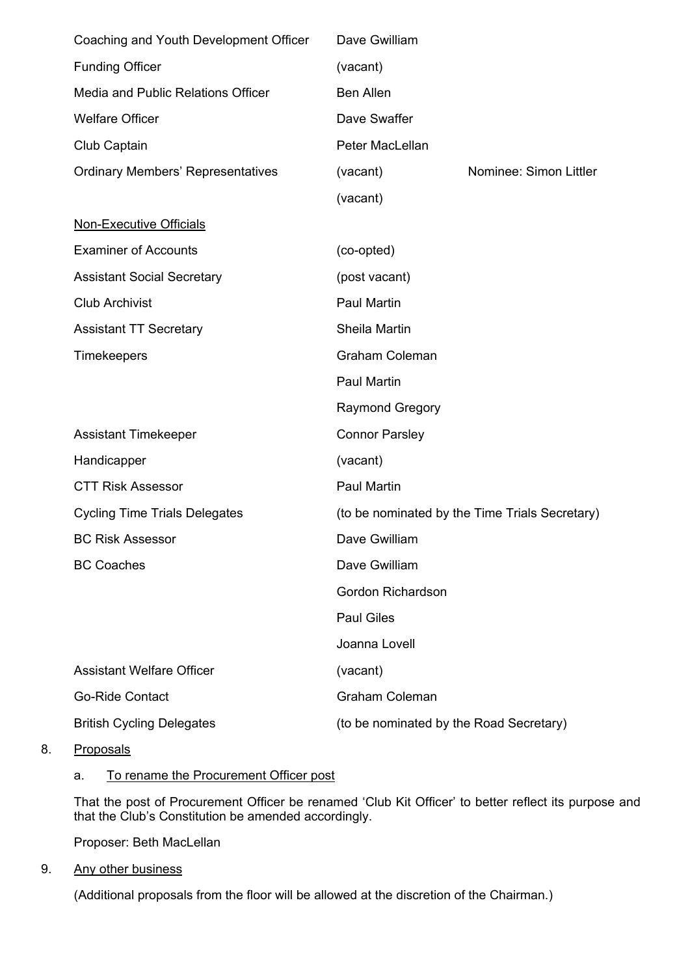| Coaching and Youth Development Officer   | Dave Gwilliam                                  |                        |  |  |
|------------------------------------------|------------------------------------------------|------------------------|--|--|
| <b>Funding Officer</b>                   | (vacant)                                       |                        |  |  |
| Media and Public Relations Officer       | <b>Ben Allen</b>                               |                        |  |  |
| <b>Welfare Officer</b>                   | Dave Swaffer                                   |                        |  |  |
| Club Captain                             | Peter MacLellan                                |                        |  |  |
| <b>Ordinary Members' Representatives</b> | (vacant)                                       | Nominee: Simon Littler |  |  |
|                                          | (vacant)                                       |                        |  |  |
| <b>Non-Executive Officials</b>           |                                                |                        |  |  |
| <b>Examiner of Accounts</b>              | (co-opted)                                     |                        |  |  |
| <b>Assistant Social Secretary</b>        | (post vacant)                                  |                        |  |  |
| <b>Club Archivist</b>                    | <b>Paul Martin</b>                             |                        |  |  |
| <b>Assistant TT Secretary</b>            | Sheila Martin                                  |                        |  |  |
| <b>Timekeepers</b>                       | <b>Graham Coleman</b>                          |                        |  |  |
|                                          | <b>Paul Martin</b>                             |                        |  |  |
|                                          | <b>Raymond Gregory</b>                         |                        |  |  |
| <b>Assistant Timekeeper</b>              | <b>Connor Parsley</b>                          |                        |  |  |
| Handicapper                              | (vacant)                                       |                        |  |  |
| <b>CTT Risk Assessor</b>                 | <b>Paul Martin</b>                             |                        |  |  |
| <b>Cycling Time Trials Delegates</b>     | (to be nominated by the Time Trials Secretary) |                        |  |  |
| <b>BC Risk Assessor</b>                  | Dave Gwilliam                                  |                        |  |  |
| <b>BC Coaches</b>                        | Dave Gwilliam                                  |                        |  |  |
|                                          | <b>Gordon Richardson</b>                       |                        |  |  |
|                                          | <b>Paul Giles</b>                              |                        |  |  |
|                                          | Joanna Lovell                                  |                        |  |  |
| <b>Assistant Welfare Officer</b>         | (vacant)                                       |                        |  |  |
| <b>Go-Ride Contact</b>                   | <b>Graham Coleman</b>                          |                        |  |  |
| <b>British Cycling Delegates</b>         | (to be nominated by the Road Secretary)        |                        |  |  |

8. Proposals

#### a. To rename the Procurement Officer post

That the post of Procurement Officer be renamed 'Club Kit Officer' to better reflect its purpose and that the Club's Constitution be amended accordingly.

Proposer: Beth MacLellan

9. Any other business

(Additional proposals from the floor will be allowed at the discretion of the Chairman.)